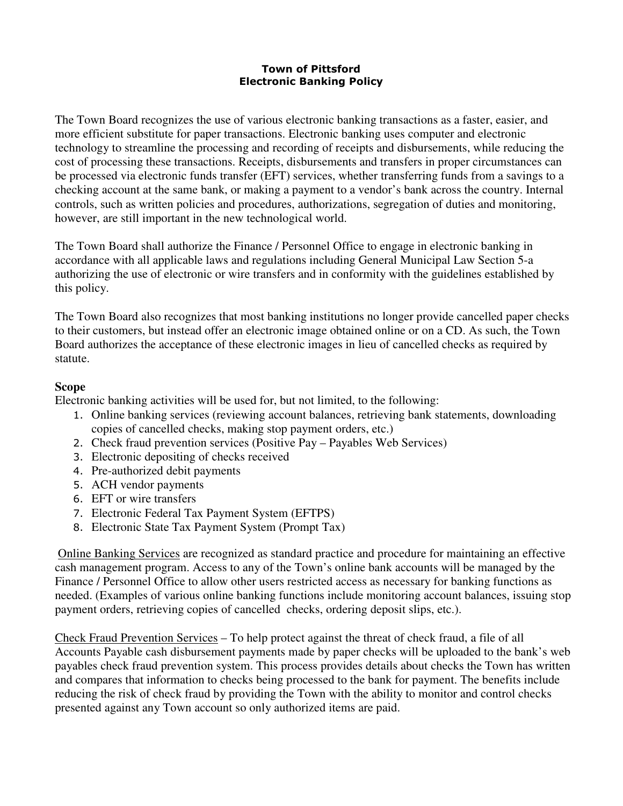## Town of Pittsford Electronic Banking Policy

The Town Board recognizes the use of various electronic banking transactions as a faster, easier, and more efficient substitute for paper transactions. Electronic banking uses computer and electronic technology to streamline the processing and recording of receipts and disbursements, while reducing the cost of processing these transactions. Receipts, disbursements and transfers in proper circumstances can be processed via electronic funds transfer (EFT) services, whether transferring funds from a savings to a checking account at the same bank, or making a payment to a vendor's bank across the country. Internal controls, such as written policies and procedures, authorizations, segregation of duties and monitoring, however, are still important in the new technological world.

The Town Board shall authorize the Finance / Personnel Office to engage in electronic banking in accordance with all applicable laws and regulations including General Municipal Law Section 5-a authorizing the use of electronic or wire transfers and in conformity with the guidelines established by this policy.

The Town Board also recognizes that most banking institutions no longer provide cancelled paper checks to their customers, but instead offer an electronic image obtained online or on a CD. As such, the Town Board authorizes the acceptance of these electronic images in lieu of cancelled checks as required by statute.

## **Scope**

Electronic banking activities will be used for, but not limited, to the following:

- 1. Online banking services (reviewing account balances, retrieving bank statements, downloading copies of cancelled checks, making stop payment orders, etc.)
- 2. Check fraud prevention services (Positive Pay Payables Web Services)
- 3. Electronic depositing of checks received
- 4. Pre-authorized debit payments
- 5. ACH vendor payments
- 6. EFT or wire transfers
- 7. Electronic Federal Tax Payment System (EFTPS)
- 8. Electronic State Tax Payment System (Prompt Tax)

 Online Banking Services are recognized as standard practice and procedure for maintaining an effective cash management program. Access to any of the Town's online bank accounts will be managed by the Finance / Personnel Office to allow other users restricted access as necessary for banking functions as needed. (Examples of various online banking functions include monitoring account balances, issuing stop payment orders, retrieving copies of cancelled checks, ordering deposit slips, etc.).

Check Fraud Prevention Services – To help protect against the threat of check fraud, a file of all Accounts Payable cash disbursement payments made by paper checks will be uploaded to the bank's web payables check fraud prevention system. This process provides details about checks the Town has written and compares that information to checks being processed to the bank for payment. The benefits include reducing the risk of check fraud by providing the Town with the ability to monitor and control checks presented against any Town account so only authorized items are paid.